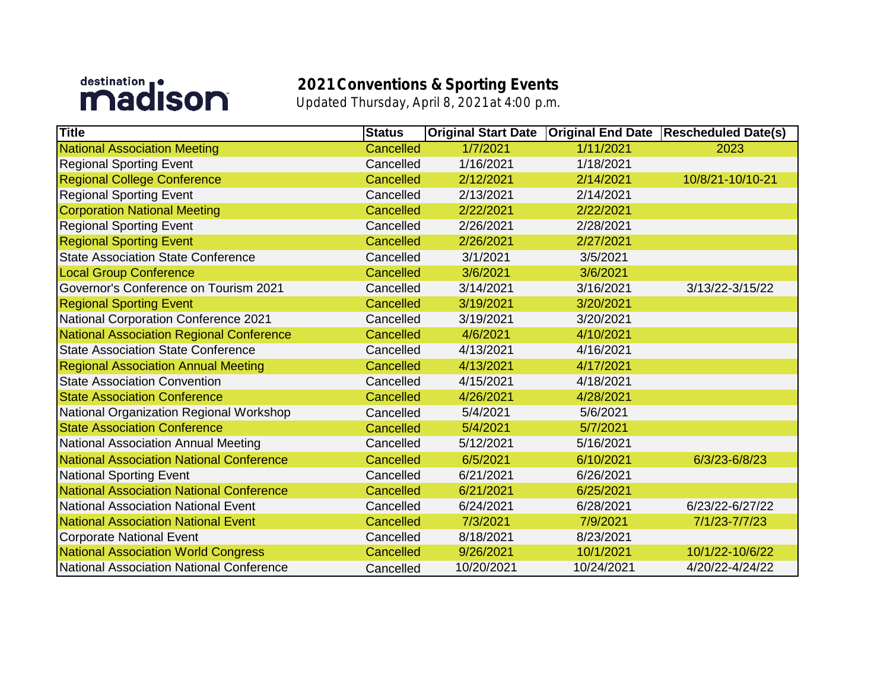## destination **i**

## **2021 Conventions & Sporting Events** Updated Thursday, April 8, 2021 at 4:00 p.m.

| <b>Title</b>                                    | <b>Status</b>    | <b>Original Start Date</b> | <b>Original End Date</b> | <b>Rescheduled Date(s)</b> |
|-------------------------------------------------|------------------|----------------------------|--------------------------|----------------------------|
| <b>National Association Meeting</b>             | <b>Cancelled</b> | 1/7/2021                   | 1/11/2021                | 2023                       |
| <b>Regional Sporting Event</b>                  | Cancelled        | 1/16/2021                  | 1/18/2021                |                            |
| <b>Regional College Conference</b>              | Cancelled        | 2/12/2021                  | 2/14/2021                | 10/8/21-10/10-21           |
| <b>Regional Sporting Event</b>                  | Cancelled        | 2/13/2021                  | 2/14/2021                |                            |
| <b>Corporation National Meeting</b>             | <b>Cancelled</b> | 2/22/2021                  | 2/22/2021                |                            |
| <b>Regional Sporting Event</b>                  | Cancelled        | 2/26/2021                  | 2/28/2021                |                            |
| <b>Regional Sporting Event</b>                  | Cancelled        | 2/26/2021                  | 2/27/2021                |                            |
| <b>State Association State Conference</b>       | Cancelled        | 3/1/2021                   | 3/5/2021                 |                            |
| <b>Local Group Conference</b>                   | Cancelled        | 3/6/2021                   | 3/6/2021                 |                            |
| Governor's Conference on Tourism 2021           | Cancelled        | 3/14/2021                  | 3/16/2021                | 3/13/22-3/15/22            |
| <b>Regional Sporting Event</b>                  | Cancelled        | 3/19/2021                  | 3/20/2021                |                            |
| National Corporation Conference 2021            | Cancelled        | 3/19/2021                  | 3/20/2021                |                            |
| <b>National Association Regional Conference</b> | Cancelled        | 4/6/2021                   | 4/10/2021                |                            |
| <b>State Association State Conference</b>       | Cancelled        | 4/13/2021                  | 4/16/2021                |                            |
| <b>Regional Association Annual Meeting</b>      | Cancelled        | 4/13/2021                  | 4/17/2021                |                            |
| <b>State Association Convention</b>             | Cancelled        | 4/15/2021                  | 4/18/2021                |                            |
| <b>State Association Conference</b>             | Cancelled        | 4/26/2021                  | 4/28/2021                |                            |
| National Organization Regional Workshop         | Cancelled        | 5/4/2021                   | 5/6/2021                 |                            |
| <b>State Association Conference</b>             | Cancelled        | 5/4/2021                   | 5/7/2021                 |                            |
| National Association Annual Meeting             | Cancelled        | 5/12/2021                  | 5/16/2021                |                            |
| National Association National Conference        | Cancelled        | 6/5/2021                   | 6/10/2021                | 6/3/23-6/8/23              |
| <b>National Sporting Event</b>                  | Cancelled        | 6/21/2021                  | 6/26/2021                |                            |
| National Association National Conference        | Cancelled        | 6/21/2021                  | 6/25/2021                |                            |
| <b>National Association National Event</b>      | Cancelled        | 6/24/2021                  | 6/28/2021                | 6/23/22-6/27/22            |
| <b>National Association National Event</b>      | <b>Cancelled</b> | 7/3/2021                   | 7/9/2021                 | 7/1/23-7/7/23              |
| <b>Corporate National Event</b>                 | Cancelled        | 8/18/2021                  | 8/23/2021                |                            |
| <b>National Association World Congress</b>      | Cancelled        | 9/26/2021                  | 10/1/2021                | 10/1/22-10/6/22            |
| National Association National Conference        | Cancelled        | 10/20/2021                 | 10/24/2021               | 4/20/22-4/24/22            |